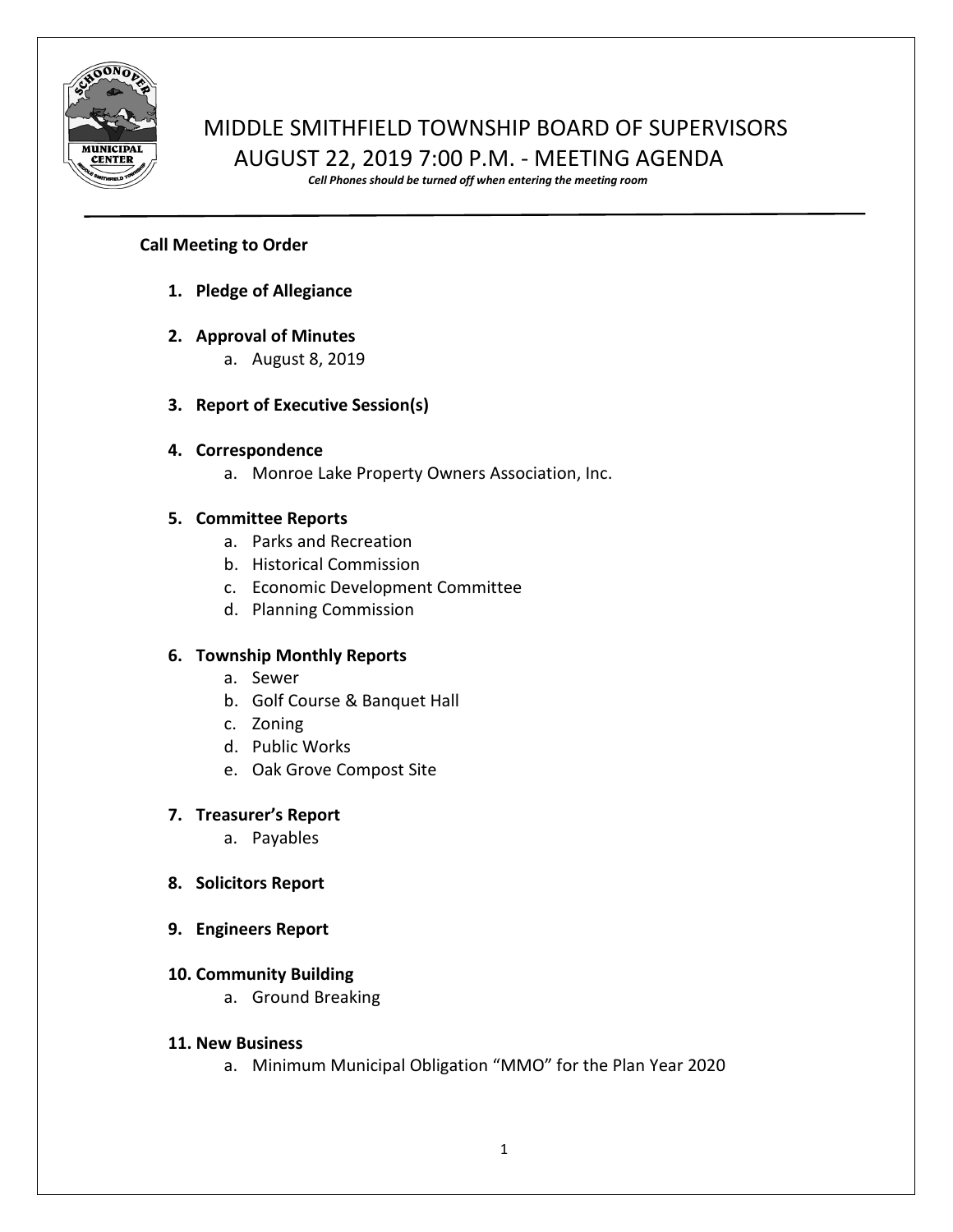

# MIDDLE SMITHFIELD TOWNSHIP BOARD OF SUPERVISORS AUGUST 22, 2019 7:00 P.M. - MEETING AGENDA

*Cell Phones should be turned off when entering the meeting room*

# **Call Meeting to Order**

- **1. Pledge of Allegiance**
- **2. Approval of Minutes**
	- a. August 8, 2019

# **3. Report of Executive Session(s)**

## **4. Correspondence**

a. Monroe Lake Property Owners Association, Inc.

# **5. Committee Reports**

- a. Parks and Recreation
- b. Historical Commission
- c. Economic Development Committee
- d. Planning Commission

## **6. Township Monthly Reports**

- a. Sewer
- b. Golf Course & Banquet Hall
- c. Zoning
- d. Public Works
- e. Oak Grove Compost Site

## **7. Treasurer's Report**

a. Payables

- **8. Solicitors Report**
- **9. Engineers Report**

## **10. Community Building**

a. Ground Breaking

## **11. New Business**

a. Minimum Municipal Obligation "MMO" for the Plan Year 2020